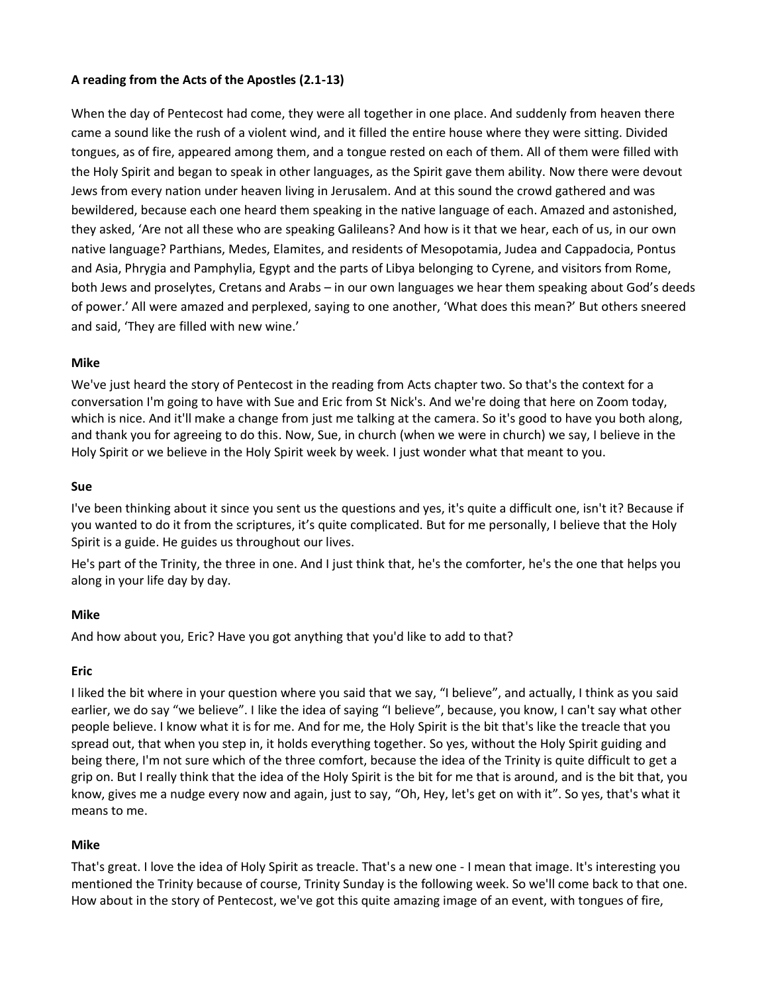## **A reading from the Acts of the Apostles (2.1-13)**

When the day of Pentecost had come, they were all together in one place. And suddenly from heaven there came a sound like the rush of a violent wind, and it filled the entire house where they were sitting. Divided tongues, as of fire, appeared among them, and a tongue rested on each of them. All of them were filled with the Holy Spirit and began to speak in other languages, as the Spirit gave them ability. Now there were devout Jews from every nation under heaven living in Jerusalem. And at this sound the crowd gathered and was bewildered, because each one heard them speaking in the native language of each. Amazed and astonished, they asked, 'Are not all these who are speaking Galileans? And how is it that we hear, each of us, in our own native language? Parthians, Medes, Elamites, and residents of Mesopotamia, Judea and Cappadocia, Pontus and Asia, Phrygia and Pamphylia, Egypt and the parts of Libya belonging to Cyrene, and visitors from Rome, both Jews and proselytes, Cretans and Arabs – in our own languages we hear them speaking about God's deeds of power.' All were amazed and perplexed, saying to one another, 'What does this mean?' But others sneered and said, 'They are filled with new wine.'

#### **Mike**

We've just heard the story of Pentecost in the reading from Acts chapter two. So that's the context for a conversation I'm going to have with Sue and Eric from St Nick's. And we're doing that here on Zoom today, which is nice. And it'll make a change from just me talking at the camera. So it's good to have you both along, and thank you for agreeing to do this. Now, Sue, in church (when we were in church) we say, I believe in the Holy Spirit or we believe in the Holy Spirit week by week. I just wonder what that meant to you.

#### **Sue**

I've been thinking about it since you sent us the questions and yes, it's quite a difficult one, isn't it? Because if you wanted to do it from the scriptures, it's quite complicated. But for me personally, I believe that the Holy Spirit is a guide. He guides us throughout our lives.

He's part of the Trinity, the three in one. And I just think that, he's the comforter, he's the one that helps you along in your life day by day.

### **Mike**

And how about you, Eric? Have you got anything that you'd like to add to that?

### **Eric**

I liked the bit where in your question where you said that we say, "I believe", and actually, I think as you said earlier, we do say "we believe". I like the idea of saying "I believe", because, you know, I can't say what other people believe. I know what it is for me. And for me, the Holy Spirit is the bit that's like the treacle that you spread out, that when you step in, it holds everything together. So yes, without the Holy Spirit guiding and being there, I'm not sure which of the three comfort, because the idea of the Trinity is quite difficult to get a grip on. But I really think that the idea of the Holy Spirit is the bit for me that is around, and is the bit that, you know, gives me a nudge every now and again, just to say, "Oh, Hey, let's get on with it". So yes, that's what it means to me.

#### **Mike**

That's great. I love the idea of Holy Spirit as treacle. That's a new one - I mean that image. It's interesting you mentioned the Trinity because of course, Trinity Sunday is the following week. So we'll come back to that one. How about in the story of Pentecost, we've got this quite amazing image of an event, with tongues of fire,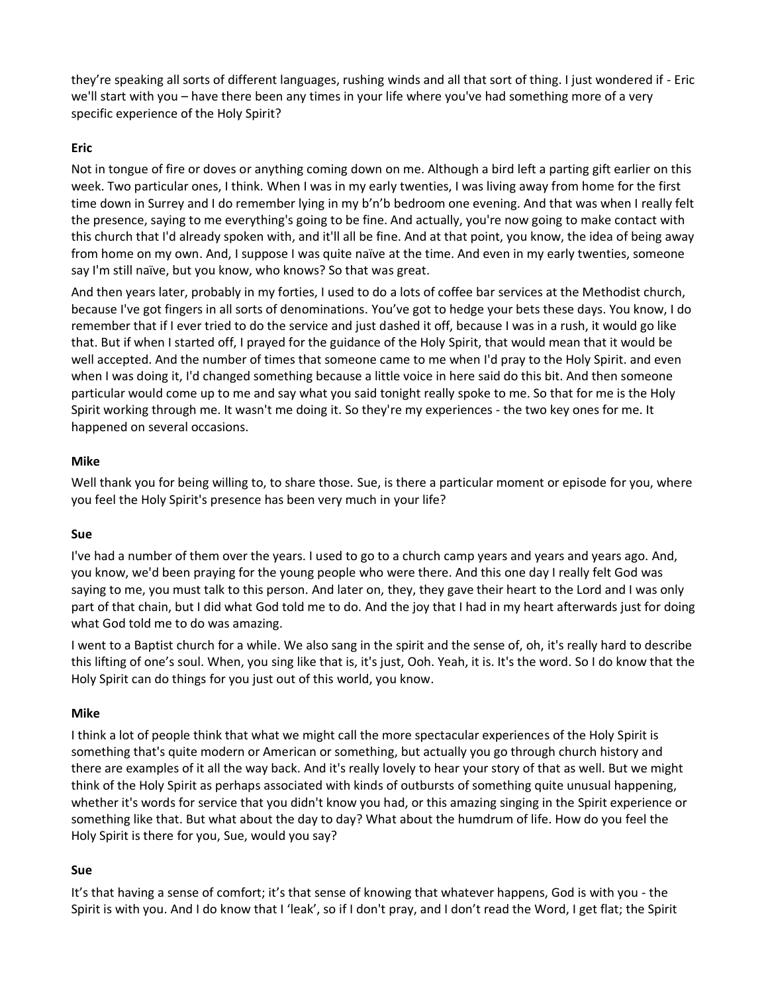they're speaking all sorts of different languages, rushing winds and all that sort of thing. I just wondered if - Eric we'll start with you – have there been any times in your life where you've had something more of a very specific experience of the Holy Spirit?

# **Eric**

Not in tongue of fire or doves or anything coming down on me. Although a bird left a parting gift earlier on this week. Two particular ones, I think. When I was in my early twenties, I was living away from home for the first time down in Surrey and I do remember lying in my b'n'b bedroom one evening. And that was when I really felt the presence, saying to me everything's going to be fine. And actually, you're now going to make contact with this church that I'd already spoken with, and it'll all be fine. And at that point, you know, the idea of being away from home on my own. And, I suppose I was quite naïve at the time. And even in my early twenties, someone say I'm still naïve, but you know, who knows? So that was great.

And then years later, probably in my forties, I used to do a lots of coffee bar services at the Methodist church, because I've got fingers in all sorts of denominations. You've got to hedge your bets these days. You know, I do remember that if I ever tried to do the service and just dashed it off, because I was in a rush, it would go like that. But if when I started off, I prayed for the guidance of the Holy Spirit, that would mean that it would be well accepted. And the number of times that someone came to me when I'd pray to the Holy Spirit. and even when I was doing it, I'd changed something because a little voice in here said do this bit. And then someone particular would come up to me and say what you said tonight really spoke to me. So that for me is the Holy Spirit working through me. It wasn't me doing it. So they're my experiences - the two key ones for me. It happened on several occasions.

# **Mike**

Well thank you for being willing to, to share those. Sue, is there a particular moment or episode for you, where you feel the Holy Spirit's presence has been very much in your life?

### **Sue**

I've had a number of them over the years. I used to go to a church camp years and years and years ago. And, you know, we'd been praying for the young people who were there. And this one day I really felt God was saying to me, you must talk to this person. And later on, they, they gave their heart to the Lord and I was only part of that chain, but I did what God told me to do. And the joy that I had in my heart afterwards just for doing what God told me to do was amazing.

I went to a Baptist church for a while. We also sang in the spirit and the sense of, oh, it's really hard to describe this lifting of one's soul. When, you sing like that is, it's just, Ooh. Yeah, it is. It's the word. So I do know that the Holy Spirit can do things for you just out of this world, you know.

### **Mike**

I think a lot of people think that what we might call the more spectacular experiences of the Holy Spirit is something that's quite modern or American or something, but actually you go through church history and there are examples of it all the way back. And it's really lovely to hear your story of that as well. But we might think of the Holy Spirit as perhaps associated with kinds of outbursts of something quite unusual happening, whether it's words for service that you didn't know you had, or this amazing singing in the Spirit experience or something like that. But what about the day to day? What about the humdrum of life. How do you feel the Holy Spirit is there for you, Sue, would you say?

### **Sue**

It's that having a sense of comfort; it's that sense of knowing that whatever happens, God is with you - the Spirit is with you. And I do know that I 'leak', so if I don't pray, and I don't read the Word, I get flat; the Spirit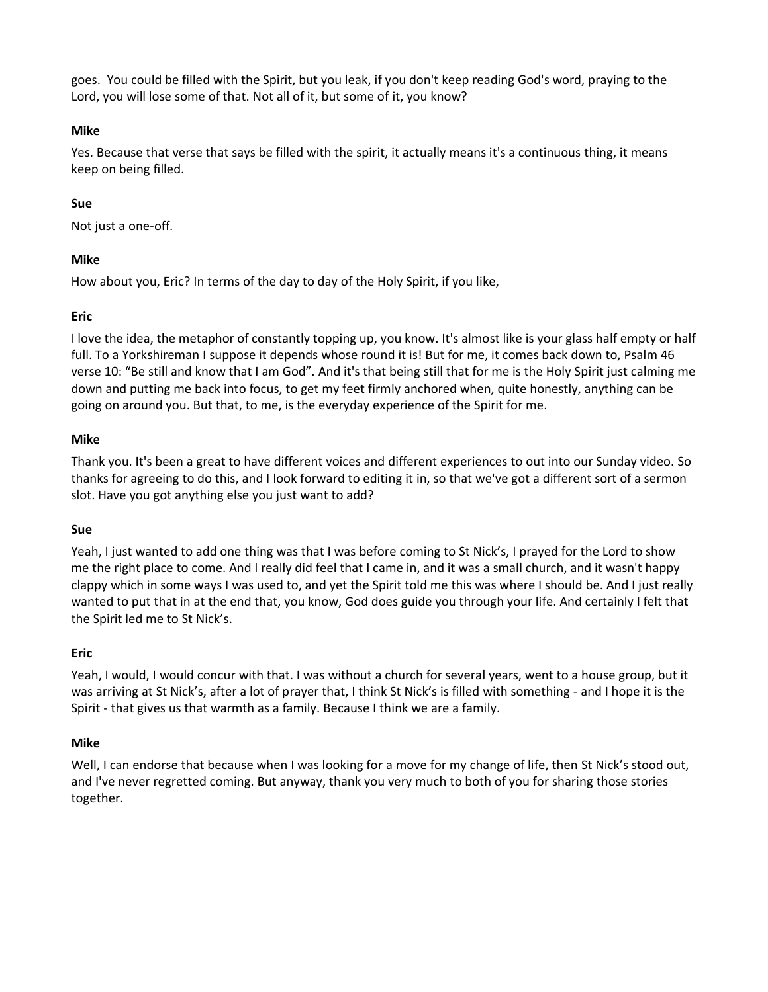goes. You could be filled with the Spirit, but you leak, if you don't keep reading God's word, praying to the Lord, you will lose some of that. Not all of it, but some of it, you know?

# **Mike**

Yes. Because that verse that says be filled with the spirit, it actually means it's a continuous thing, it means keep on being filled.

# **Sue**

Not just a one-off.

## **Mike**

How about you, Eric? In terms of the day to day of the Holy Spirit, if you like,

## **Eric**

I love the idea, the metaphor of constantly topping up, you know. It's almost like is your glass half empty or half full. To a Yorkshireman I suppose it depends whose round it is! But for me, it comes back down to, Psalm 46 verse 10: "Be still and know that I am God". And it's that being still that for me is the Holy Spirit just calming me down and putting me back into focus, to get my feet firmly anchored when, quite honestly, anything can be going on around you. But that, to me, is the everyday experience of the Spirit for me.

### **Mike**

Thank you. It's been a great to have different voices and different experiences to out into our Sunday video. So thanks for agreeing to do this, and I look forward to editing it in, so that we've got a different sort of a sermon slot. Have you got anything else you just want to add?

### **Sue**

Yeah, I just wanted to add one thing was that I was before coming to St Nick's, I prayed for the Lord to show me the right place to come. And I really did feel that I came in, and it was a small church, and it wasn't happy clappy which in some ways I was used to, and yet the Spirit told me this was where I should be. And I just really wanted to put that in at the end that, you know, God does guide you through your life. And certainly I felt that the Spirit led me to St Nick's.

### **Eric**

Yeah, I would, I would concur with that. I was without a church for several years, went to a house group, but it was arriving at St Nick's, after a lot of prayer that, I think St Nick's is filled with something - and I hope it is the Spirit - that gives us that warmth as a family. Because I think we are a family.

### **Mike**

Well, I can endorse that because when I was looking for a move for my change of life, then St Nick's stood out, and I've never regretted coming. But anyway, thank you very much to both of you for sharing those stories together.